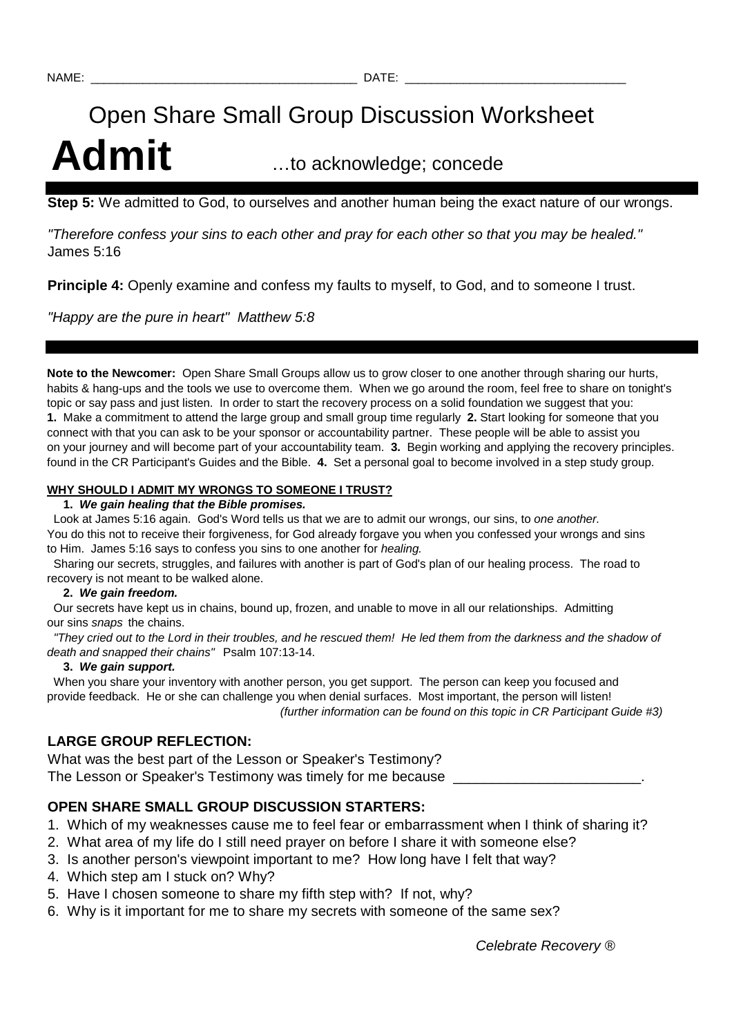# Open Share Small Group Discussion Worksheet Admit **Admit** ...to acknowledge; concede

**Step 5:** We admitted to God, to ourselves and another human being the exact nature of our wrongs.

"Therefore confess your sins to each other and pray for each other so that you may be healed." James 5:16

**Principle 4:** Openly examine and confess my faults to myself, to God, and to someone I trust.

"Happy are the pure in heart" Matthew 5:8

**Note to the Newcomer:** Open Share Small Groups allow us to grow closer to one another through sharing our hurts, habits & hang-ups and the tools we use to overcome them. When we go around the room, feel free to share on tonight's topic or say pass and just listen. In order to start the recovery process on a solid foundation we suggest that you: **1.** Make a commitment to attend the large group and small group time regularly **2.** Start looking for someone that you connect with that you can ask to be your sponsor or accountability partner. These people will be able to assist you on your journey and will become part of your accountability team. **3.** Begin working and applying the recovery principles. found in the CR Participant's Guides and the Bible. **4.** Set a personal goal to become involved in a step study group.

#### **WHY SHOULD I ADMIT MY WRONGS TO SOMEONE I TRUST?**

#### **1. We gain healing that the Bible promises.**

Look at James 5:16 again. God's Word tells us that we are to admit our wrongs, our sins, to one another. You do this not to receive their forgiveness, for God already forgave you when you confessed your wrongs and sins to Him. James 5:16 says to confess you sins to one another for healing.

 Sharing our secrets, struggles, and failures with another is part of God's plan of our healing process. The road to recovery is not meant to be walked alone.

#### **2. We gain freedom.**

 Our secrets have kept us in chains, bound up, frozen, and unable to move in all our relationships. Admitting our sins snaps the chains.

 "They cried out to the Lord in their troubles, and he rescued them! He led them from the darkness and the shadow of death and snapped their chains" Psalm 107:13-14.

#### **3. We gain support.**

 When you share your inventory with another person, you get support. The person can keep you focused and provide feedback. He or she can challenge you when denial surfaces. Most important, the person will listen! (further information can be found on this topic in CR Participant Guide #3)

## **LARGE GROUP REFLECTION:**

What was the best part of the Lesson or Speaker's Testimony? The Lesson or Speaker's Testimony was timely for me because

## **OPEN SHARE SMALL GROUP DISCUSSION STARTERS:**

- 1. Which of my weaknesses cause me to feel fear or embarrassment when I think of sharing it?
- 2. What area of my life do I still need prayer on before I share it with someone else?
- 3. Is another person's viewpoint important to me? How long have I felt that way?
- 4. Which step am I stuck on? Why?
- 5. Have I chosen someone to share my fifth step with? If not, why?
- 6. Why is it important for me to share my secrets with someone of the same sex?

Celebrate Recovery ®